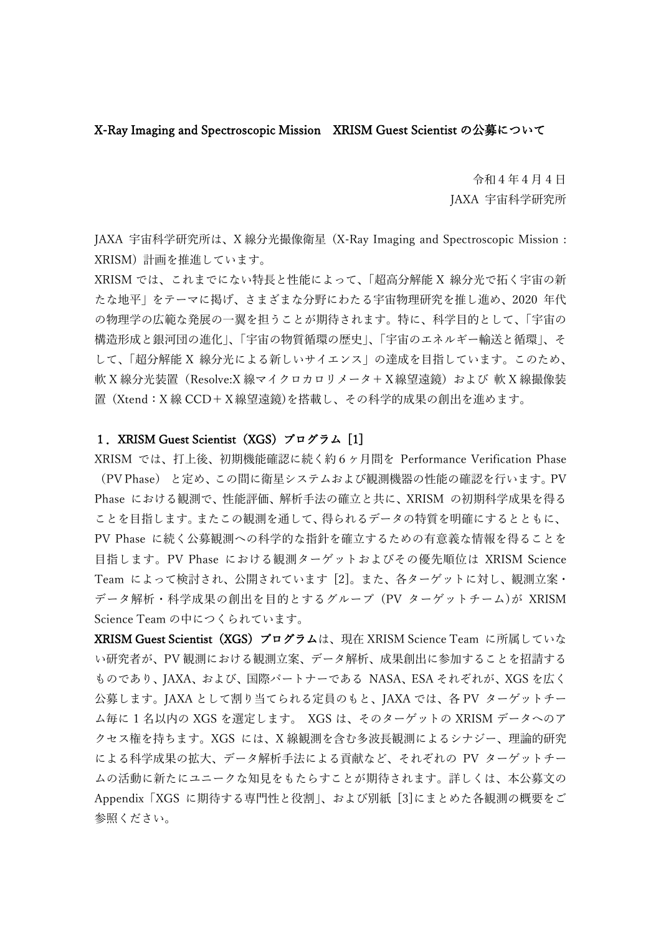### X-Ray Imaging and Spectroscopic Mission XRISM Guest Scientist の公募について

令和4年4月 4 日 JAXA 宇宙科学研究所

JAXA 宇宙科学研究所は、X 線分光撮像衛星 (X-Ray Imaging and Spectroscopic Mission : XRISM) 計画を推進しています。

XRISM では、これまでにない特長と性能によって、「超高分解能 X 線分光で拓く宇宙の新 たな地平」をテーマに掲げ、さまざまな分野にわたる宇宙物理研究を推し進め、2020 年代 の物理学の広範な発展の一翼を担うことが期待されます。特に、科学目的として、「宇宙の 構造形成と銀河団の進化」、「宇宙の物質循環の歴史」、「宇宙のエネルギー輸送と循環」、そ して、「超分解能 X 線分光による新しいサイエンス」の達成を目指しています。このため、 軟 X 線分光装置(Resolve:X 線マイクロカロリメータ+ X 線望遠鏡)および 軟 X 線撮像装 置 (Xtend:X 線 CCD+X線望遠鏡)を搭載し、その科学的成果の創出を進めます。

### 1. XRISM Guest Scientist (XGS) プログラム [1]

XRISM では、打上後、初期機能確認に続く約6ヶ月間を Performance Verification Phase (PV Phase) と定め、この間に衛星システムおよび観測機器の性能の確認を行います。PV Phase における観測で、性能評価、解析手法の確立と共に、XRISM の初期科学成果を得る ことを目指します。またこの観測を通して、得られるデータの特質を明確にするとともに、 PV Phase に続く公募観測への科学的な指針を確立するための有意義な情報を得ることを 目指します。PV Phase における観測ターゲットおよびその優先順位は XRISM Science Team によって検討され、公開されています [2]。また、各ターゲットに対し、観測立案・ データ解析・科学成果の創出を目的とするグループ (PV ターゲットチーム)が XRISM Science Team の中につくられています。

XRISM Guest Scientist(XGS)プログラムは、現在 XRISM Science Team に所属していな い研究者が、PV 観測における観測立案、データ解析、成果創出に参加することを招請する ものであり、JAXA、および、国際パートナーである NASA、ESA それぞれが、XGS を広く 公募します。JAXA として割り当てられる定員のもと、JAXA では、各 PV ターゲットチー ム毎に 1 名以内の XGS を選定します。 XGS は、そのターゲットの XRISM データへのア クセス権を持ちます。XGS には、X 線観測を含む多波長観測によるシナジー、理論的研究 による科学成果の拡大、データ解析手法による貢献など、それぞれの PV ターゲットチー ムの活動に新たにユニークな知見をもたらすことが期待されます。詳しくは、本公募文の Appendix「XGS に期待する専門性と役割」、および別紙 [3]にまとめた各観測の概要をご 参照ください。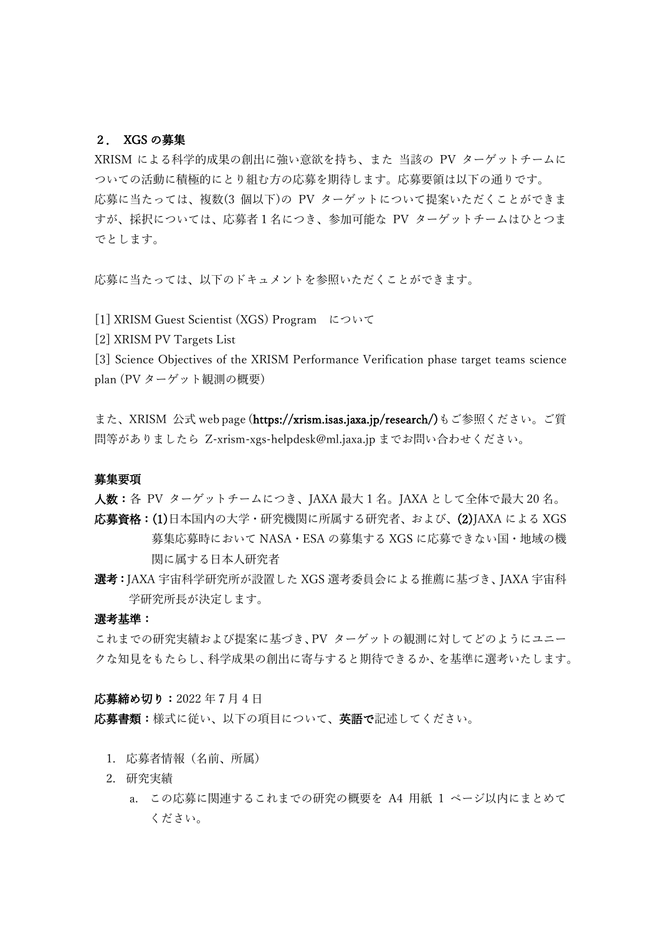#### 2. XGS の募集

XRISM による科学的成果の創出に強い意欲を持ち、また 当該の PV ターゲットチームに ついての活動に積極的にとり組む方の応募を期待します。応募要領は以下の通りです。 応募に当たっては、複数(3 個以下)の PV ターゲットについて提案いただくことができま すが、採択については、応募者1名につき、参加可能な PV ターゲットチームはひとつま でとします。

応募に当たっては、以下のドキュメントを参照いただくことができます。

[1] XRISM Guest Scientist (XGS) Program について

[2] XRISM PV Targets List

[3] Science Objectives of the XRISM Performance Verification phase target teams science plan (PV ターゲット観測の概要)

また、XRISM 公式 web page (https://xrism.isas.jaxa.jp/research/)もご参照ください。ご質 問等がありましたら Z-xrism-xgs-helpdesk@ml.jaxa.jp までお問い合わせください。

#### 募集要項

人数:各 PV ターゲットチームにつき、JAXA 最大 1 名。JAXA として全体で最大 20 名。

- 応募資格:(1)日本国内の大学・研究機関に所属する研究者、および、(2)JAXA による XGS 募集応募時において NASA・ESA の募集する XGS に応募できない国・地域の機 関に属する日本人研究者
- 選考:JAXA 宇宙科学研究所が設置した XGS 選考委員会による推薦に基づき、JAXA 宇宙科 学研究所長が決定します。

### 選考基準:

これまでの研究実績および提案に基づき、PV ターゲットの観測に対してどのようにユニー クな知見をもたらし、科学成果の創出に寄与すると期待できるか、を基準に選考いたします。

応募締め切り:2022 年7月 4 日

応募書類:様式に従い、以下の項目について、英語で記述してください。

- 1. 応募者情報(名前、所属)
- 2. 研究実績
	- a. この応募に関連するこれまでの研究の概要を A4 用紙 1 ページ以内にまとめて ください。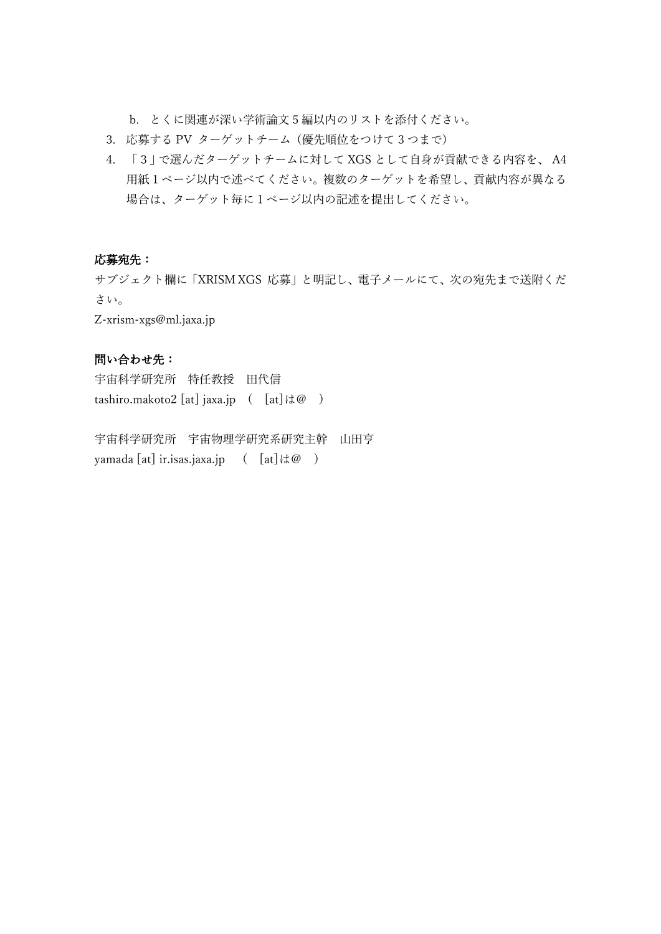b. とくに関連が深い学術論文 5 編以内のリストを添付ください。

- 3. 応募する PV ターゲットチーム (優先順位をつけて 3 つまで)
- 4. 「3」で選んだターゲットチームに対して XGS として自身が貢献できる内容を、 A4 用紙1ページ以内で述べてください。複数のターゲットを希望し、貢献内容が異なる 場合は、ターゲット毎に1ページ以内の記述を提出してください。

### 応募宛先:

サブジェクト欄に「XRISM XGS 応募」と明記し、電子メールにて、次の宛先まで送附くだ さい。

Z-xrism-xgs@ml.jaxa.jp

## 問い合わせ先:

宇宙科学研究所 特任教授 田代信 tashiro.makoto2 [at] jaxa.jp  $([at] \, | \, d\mathcal{Q})$ 

宇宙科学研究所 宇宙物理学研究系研究主幹 山田亨 yamada [at] ir.isas.jaxa.jp ( [at]は@ )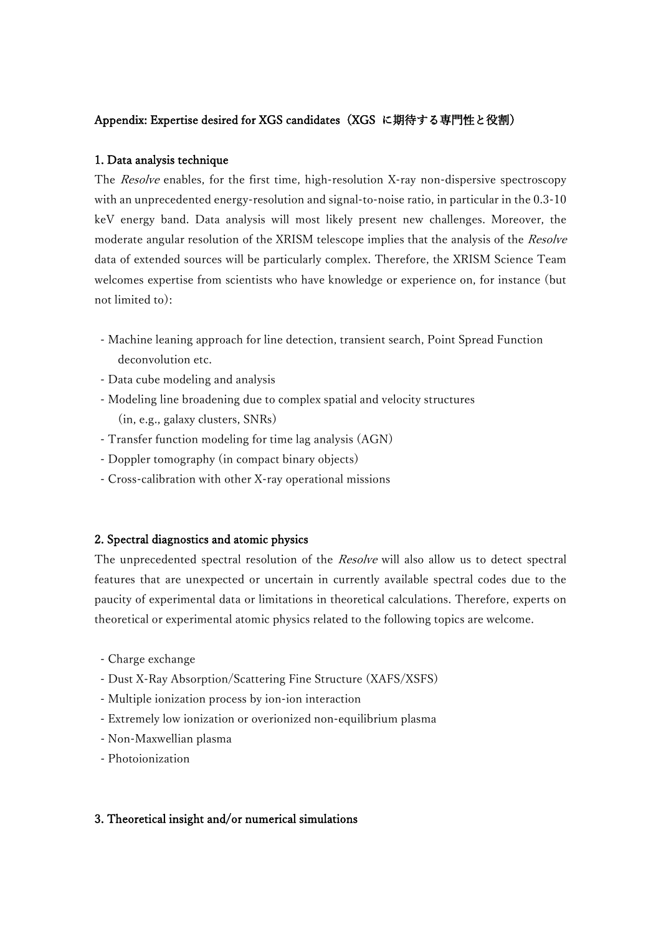## Appendix: Expertise desired for XGS candidates(XGS に期待する専門性と役割)

## 1. Data analysis technique

The *Resolve* enables, for the first time, high-resolution X-ray non-dispersive spectroscopy with an unprecedented energy-resolution and signal-to-noise ratio, in particular in the 0.3-10 keV energy band. Data analysis will most likely present new challenges. Moreover, the moderate angular resolution of the XRISM telescope implies that the analysis of the Resolve data of extended sources will be particularly complex. Therefore, the XRISM Science Team welcomes expertise from scientists who have knowledge or experience on, for instance (but not limited to):

- Machine leaning approach for line detection, transient search, Point Spread Function deconvolution etc.
- Data cube modeling and analysis
- Modeling line broadening due to complex spatial and velocity structures (in, e.g., galaxy clusters, SNRs)
- Transfer function modeling for time lag analysis (AGN)
- Doppler tomography (in compact binary objects)
- Cross-calibration with other X-ray operational missions

## 2. Spectral diagnostics and atomic physics

The unprecedented spectral resolution of the Resolve will also allow us to detect spectral features that are unexpected or uncertain in currently available spectral codes due to the paucity of experimental data or limitations in theoretical calculations. Therefore, experts on theoretical or experimental atomic physics related to the following topics are welcome.

- Charge exchange
- Dust X-Ray Absorption/Scattering Fine Structure (XAFS/XSFS)
- Multiple ionization process by ion-ion interaction
- Extremely low ionization or overionized non-equilibrium plasma
- Non-Maxwellian plasma
- Photoionization

## 3. Theoretical insight and/or numerical simulations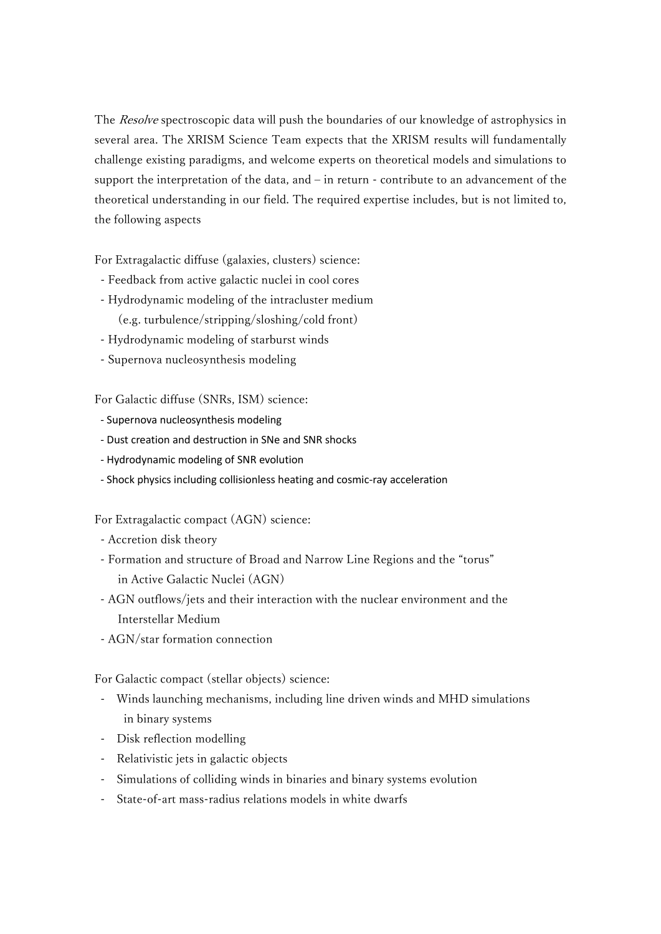The Resolve spectroscopic data will push the boundaries of our knowledge of astrophysics in several area. The XRISM Science Team expects that the XRISM results will fundamentally challenge existing paradigms, and welcome experts on theoretical models and simulations to support the interpretation of the data, and – in return - contribute to an advancement of the theoretical understanding in our field. The required expertise includes, but is not limited to, the following aspects

For Extragalactic diffuse (galaxies, clusters) science:

- Feedback from active galactic nuclei in cool cores
- Hydrodynamic modeling of the intracluster medium (e.g. turbulence/stripping/sloshing/cold front)
- Hydrodynamic modeling of starburst winds
- Supernova nucleosynthesis modeling

For Galactic diffuse (SNRs, ISM) science:

- Supernova nucleosynthesis modeling
- Dust creation and destruction in SNe and SNR shocks
- Hydrodynamic modeling of SNR evolution
- Shock physics including collisionless heating and cosmic-ray acceleration

For Extragalactic compact (AGN) science:

- Accretion disk theory
- Formation and structure of Broad and Narrow Line Regions and the "torus" in Active Galactic Nuclei (AGN)
- AGN outflows/jets and their interaction with the nuclear environment and the Interstellar Medium
- AGN/star formation connection

For Galactic compact (stellar objects) science:

- Winds launching mechanisms, including line driven winds and MHD simulations in binary systems
- Disk reflection modelling
- Relativistic jets in galactic objects
- Simulations of colliding winds in binaries and binary systems evolution
- State-of-art mass-radius relations models in white dwarfs